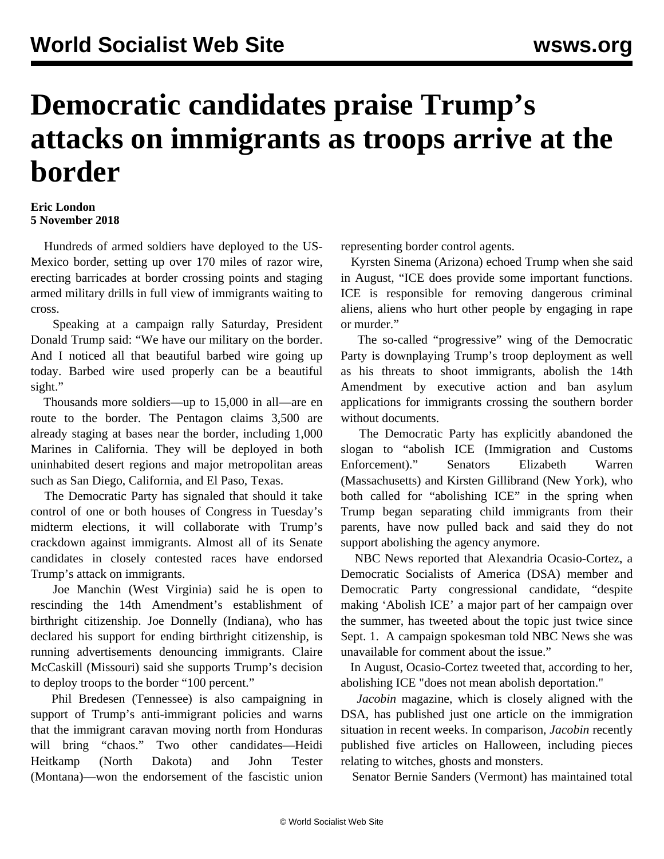## **Democratic candidates praise Trump's attacks on immigrants as troops arrive at the border**

## **Eric London 5 November 2018**

 Hundreds of armed soldiers have deployed to the US-Mexico border, setting up over 170 miles of razor wire, erecting barricades at border crossing points and staging armed military drills in full view of immigrants waiting to cross.

 Speaking at a campaign rally Saturday, President Donald Trump said: "We have our military on the border. And I noticed all that beautiful barbed wire going up today. Barbed wire used properly can be a beautiful sight."

 Thousands more soldiers—up to 15,000 in all—are en route to the border. The Pentagon claims 3,500 are already staging at bases near the border, including 1,000 Marines in California. They will be deployed in both uninhabited desert regions and major metropolitan areas such as San Diego, California, and El Paso, Texas.

 The Democratic Party has signaled that should it take control of one or both houses of Congress in Tuesday's midterm elections, it will collaborate with Trump's crackdown against immigrants. Almost all of its Senate candidates in closely contested races have endorsed Trump's attack on immigrants.

 Joe Manchin (West Virginia) said he is open to rescinding the 14th Amendment's establishment of birthright citizenship. Joe Donnelly (Indiana), who has declared his support for ending birthright citizenship, is running advertisements denouncing immigrants. Claire McCaskill (Missouri) said she supports Trump's decision to deploy troops to the border "100 percent."

 Phil Bredesen (Tennessee) is also campaigning in support of Trump's anti-immigrant policies and warns that the immigrant caravan moving north from Honduras will bring "chaos." Two other candidates—Heidi Heitkamp (North Dakota) and John Tester (Montana)—won the endorsement of the fascistic union representing border control agents.

 Kyrsten Sinema (Arizona) echoed Trump when she said in August, "ICE does provide some important functions. ICE is responsible for removing dangerous criminal aliens, aliens who hurt other people by engaging in rape or murder."

 The so-called "progressive" wing of the Democratic Party is downplaying Trump's troop deployment as well as his threats to shoot immigrants, abolish the 14th Amendment by executive action and ban asylum applications for immigrants crossing the southern border without documents.

 The Democratic Party has explicitly abandoned the slogan to "abolish ICE (Immigration and Customs Enforcement)." Senators Elizabeth Warren (Massachusetts) and Kirsten Gillibrand (New York), who both called for "abolishing ICE" in the spring when Trump began separating child immigrants from their parents, have now pulled back and said they do not support abolishing the agency anymore.

 NBC News reported that Alexandria Ocasio-Cortez, a Democratic Socialists of America (DSA) member and Democratic Party congressional candidate, "despite making 'Abolish ICE' a major part of her campaign over the summer, has tweeted about the topic just twice since Sept. 1. A campaign spokesman told NBC News she was unavailable for comment about the issue."

 In August, Ocasio-Cortez tweeted that, according to her, abolishing ICE "does not mean abolish deportation."

 *Jacobin* magazine, which is closely aligned with the DSA, has published just one article on the immigration situation in recent weeks. In comparison, *Jacobin* recently published five articles on Halloween, including pieces relating to witches, ghosts and monsters.

Senator Bernie Sanders (Vermont) has maintained total